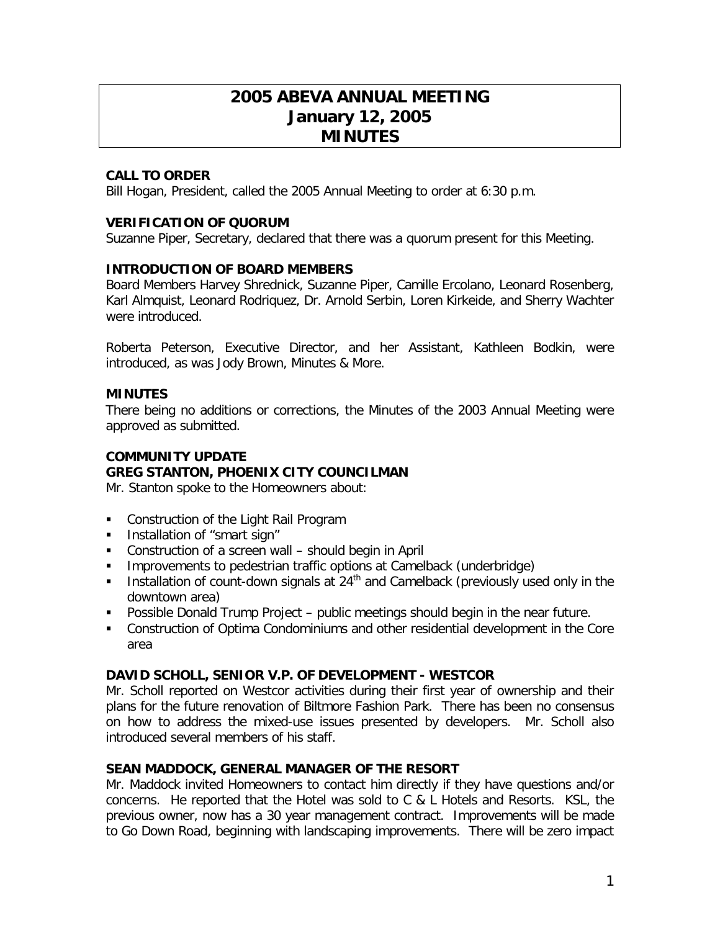# **2005 ABEVA ANNUAL MEETING January 12, 2005 MINUTES**

# **CALL TO ORDER**

Bill Hogan, President, called the 2005 Annual Meeting to order at 6:30 p.m.

# **VERIFICATION OF QUORUM**

Suzanne Piper, Secretary, declared that there was a quorum present for this Meeting.

## **INTRODUCTION OF BOARD MEMBERS**

Board Members Harvey Shrednick, Suzanne Piper, Camille Ercolano, Leonard Rosenberg, Karl Almquist, Leonard Rodriquez, Dr. Arnold Serbin, Loren Kirkeide, and Sherry Wachter were introduced.

Roberta Peterson, Executive Director, and her Assistant, Kathleen Bodkin, were introduced, as was Jody Brown, Minutes & More.

## **MINUTES**

There being no additions or corrections, the Minutes of the 2003 Annual Meeting were approved as submitted.

## **COMMUNITY UPDATE**

# **GREG STANTON, PHOENIX CITY COUNCILMAN**

Mr. Stanton spoke to the Homeowners about:

- **Construction of the Light Rail Program**
- **Installation of "smart sign"**
- Construction of a screen wall should begin in April
- **IMPROVEMENTS TO pedestrian traffic options at Camelback (underbridge)**
- **Installation of count-down signals at 24<sup>th</sup> and Camelback (previously used only in the** downtown area)
- Possible Donald Trump Project public meetings should begin in the near future.
- Construction of Optima Condominiums and other residential development in the Core area

#### **DAVID SCHOLL, SENIOR V.P. OF DEVELOPMENT - WESTCOR**

Mr. Scholl reported on Westcor activities during their first year of ownership and their plans for the future renovation of Biltmore Fashion Park. There has been no consensus on how to address the mixed-use issues presented by developers. Mr. Scholl also introduced several members of his staff.

# **SEAN MADDOCK, GENERAL MANAGER OF THE RESORT**

Mr. Maddock invited Homeowners to contact him directly if they have questions and/or concerns. He reported that the Hotel was sold to  $C & L$  Hotels and Resorts. KSL, the previous owner, now has a 30 year management contract. Improvements will be made to Go Down Road, beginning with landscaping improvements. There will be zero impact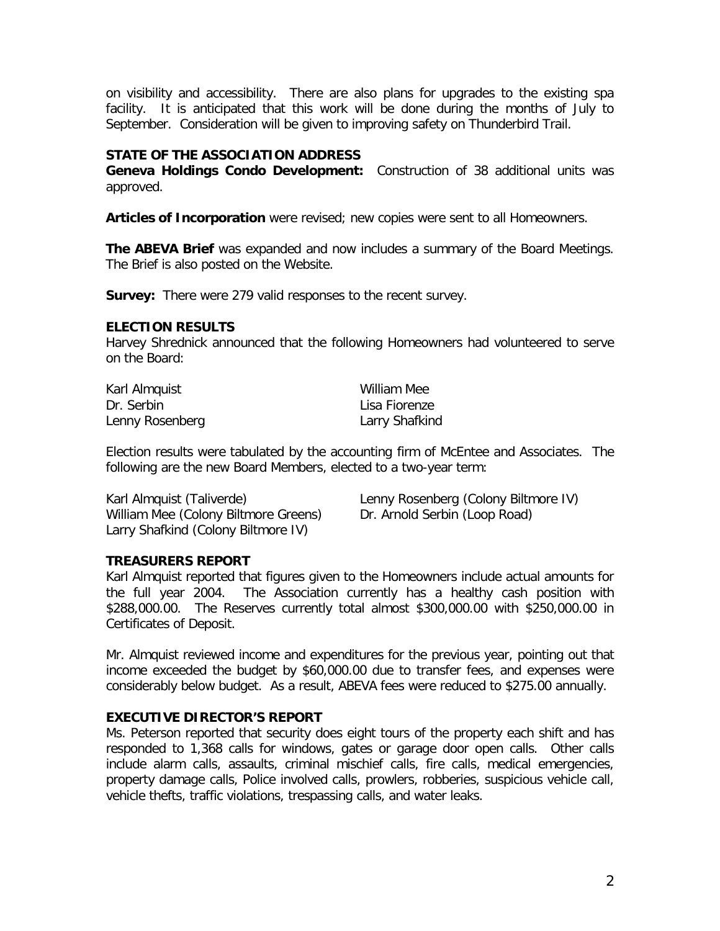on visibility and accessibility. There are also plans for upgrades to the existing spa facility. It is anticipated that this work will be done during the months of July to September. Consideration will be given to improving safety on Thunderbird Trail.

# **STATE OF THE ASSOCIATION ADDRESS**

**Geneva Holdings Condo Development:** Construction of 38 additional units was approved.

**Articles of Incorporation** were revised; new copies were sent to all Homeowners.

**The ABEVA Brief** was expanded and now includes a summary of the Board Meetings. The Brief is also posted on the Website.

**Survey:** There were 279 valid responses to the recent survey.

#### **ELECTION RESULTS**

Harvey Shrednick announced that the following Homeowners had volunteered to serve on the Board:

| Karl Almquist   | William Mee    |
|-----------------|----------------|
| Dr. Serbin      | Lisa Fiorenze  |
| Lenny Rosenberg | Larry Shafkind |

Election results were tabulated by the accounting firm of McEntee and Associates. The following are the new Board Members, elected to a two-year term:

William Mee (Colony Biltmore Greens) Dr. Arnold Serbin (Loop Road) Larry Shafkind (Colony Biltmore IV)

Karl Almquist (Taliverde) Lenny Rosenberg (Colony Biltmore IV)

#### **TREASURERS REPORT**

Karl Almquist reported that figures given to the Homeowners include actual amounts for the full year 2004. The Association currently has a healthy cash position with \$288,000.00. The Reserves currently total almost \$300,000.00 with \$250,000.00 in Certificates of Deposit.

Mr. Almquist reviewed income and expenditures for the previous year, pointing out that income exceeded the budget by \$60,000.00 due to transfer fees, and expenses were considerably below budget. As a result, ABEVA fees were reduced to \$275.00 annually.

# **EXECUTIVE DIRECTOR'S REPORT**

Ms. Peterson reported that security does eight tours of the property each shift and has responded to 1,368 calls for windows, gates or garage door open calls. Other calls include alarm calls, assaults, criminal mischief calls, fire calls, medical emergencies, property damage calls, Police involved calls, prowlers, robberies, suspicious vehicle call, vehicle thefts, traffic violations, trespassing calls, and water leaks.